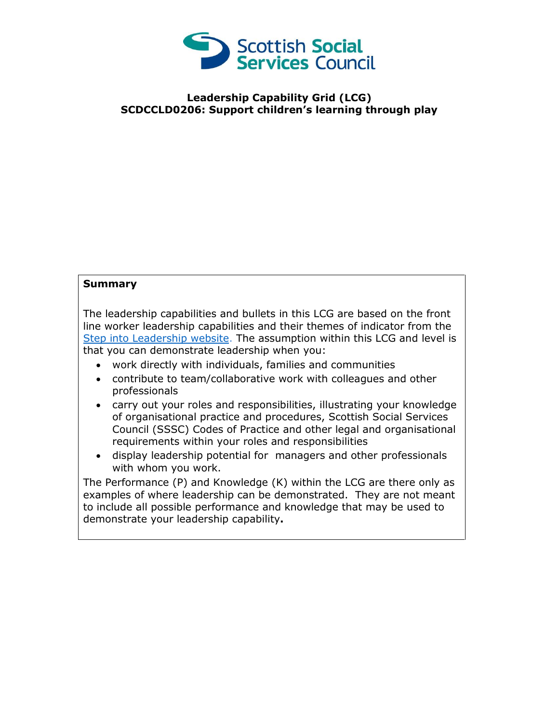

## **Leadership Capability Grid (LCG) SCDCCLD0206: Support children's learning through play**

## **Summary**

The leadership capabilities and bullets in this LCG are based on the front line worker leadership capabilities and their themes of indicator from the [Step into Leadership website.](http://www.stepintoleadership.info/) The assumption within this LCG and level is that you can demonstrate leadership when you:

- work directly with individuals, families and communities
- contribute to team/collaborative work with colleagues and other professionals
- carry out your roles and responsibilities, illustrating your knowledge of organisational practice and procedures, Scottish Social Services Council (SSSC) Codes of Practice and other legal and organisational requirements within your roles and responsibilities
- display leadership potential for managers and other professionals with whom you work.

The Performance (P) and Knowledge (K) within the LCG are there only as examples of where leadership can be demonstrated. They are not meant to include all possible performance and knowledge that may be used to demonstrate your leadership capability**.**